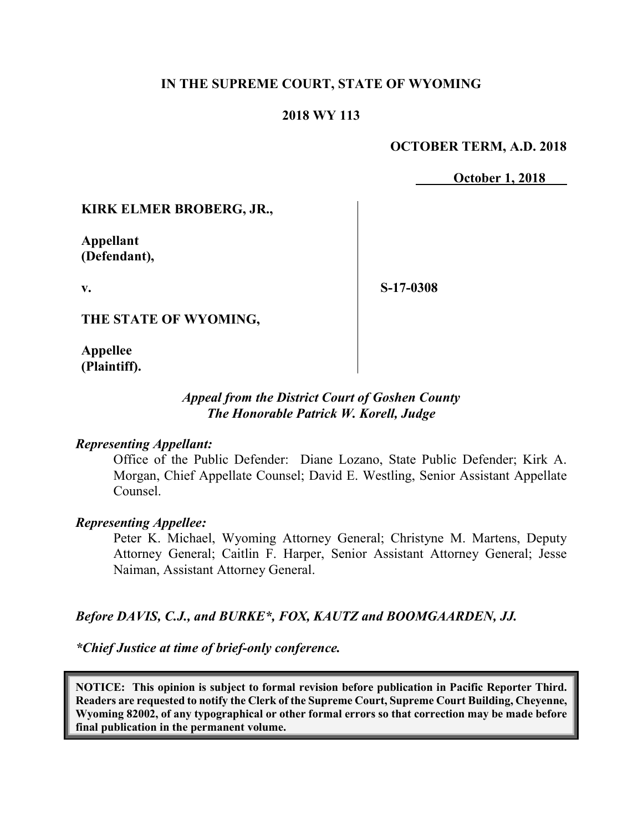# **IN THE SUPREME COURT, STATE OF WYOMING**

# **2018 WY 113**

# **OCTOBER TERM, A.D. 2018**

**October 1, 2018** 

# **KIRK ELMER BROBERG, JR.,**

**Appellant (Defendant),**

**v.**

**S-17-0308**

**THE STATE OF WYOMING,**

**Appellee (Plaintiff).**

# *Appeal from the District Court of Goshen County The Honorable Patrick W. Korell, Judge*

### *Representing Appellant:*

Office of the Public Defender: Diane Lozano, State Public Defender; Kirk A. Morgan, Chief Appellate Counsel; David E. Westling, Senior Assistant Appellate Counsel.

### *Representing Appellee:*

Peter K. Michael, Wyoming Attorney General; Christyne M. Martens, Deputy Attorney General; Caitlin F. Harper, Senior Assistant Attorney General; Jesse Naiman, Assistant Attorney General.

# *Before DAVIS, C.J., and BURKE\*, FOX, KAUTZ and BOOMGAARDEN, JJ.*

*\*Chief Justice at time of brief-only conference.*

**NOTICE: This opinion is subject to formal revision before publication in Pacific Reporter Third. Readers are requested to notify the Clerk of the Supreme Court, Supreme Court Building, Cheyenne, Wyoming 82002, of any typographical or other formal errors so that correction may be made before final publication in the permanent volume.**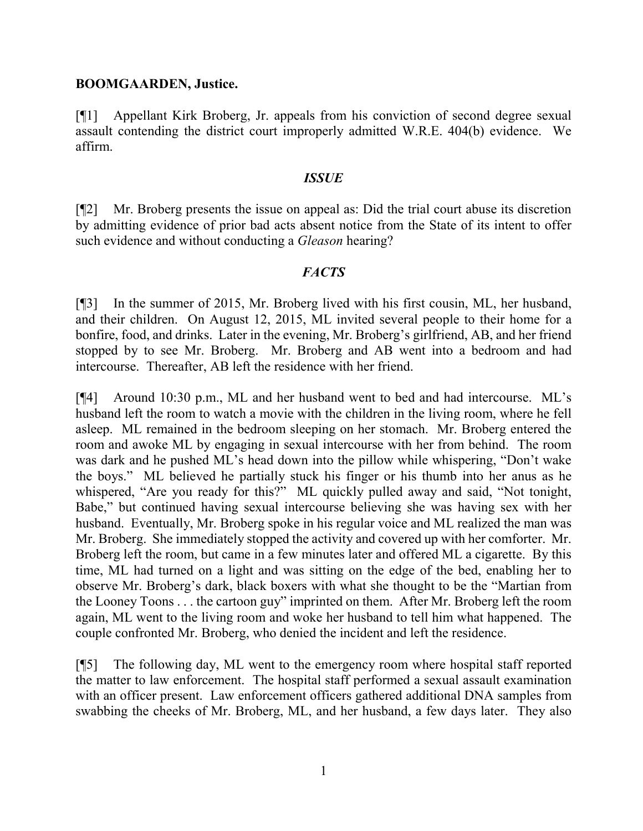#### **BOOMGAARDEN, Justice.**

[¶1] Appellant Kirk Broberg, Jr. appeals from his conviction of second degree sexual assault contending the district court improperly admitted W.R.E. 404(b) evidence. We affirm.

#### *ISSUE*

[¶2] Mr. Broberg presents the issue on appeal as: Did the trial court abuse its discretion by admitting evidence of prior bad acts absent notice from the State of its intent to offer such evidence and without conducting a *Gleason* hearing?

### *FACTS*

[¶3] In the summer of 2015, Mr. Broberg lived with his first cousin, ML, her husband, and their children. On August 12, 2015, ML invited several people to their home for a bonfire, food, and drinks. Later in the evening, Mr. Broberg's girlfriend, AB, and her friend stopped by to see Mr. Broberg. Mr. Broberg and AB went into a bedroom and had intercourse. Thereafter, AB left the residence with her friend.

[¶4] Around 10:30 p.m., ML and her husband went to bed and had intercourse. ML's husband left the room to watch a movie with the children in the living room, where he fell asleep. ML remained in the bedroom sleeping on her stomach. Mr. Broberg entered the room and awoke ML by engaging in sexual intercourse with her from behind. The room was dark and he pushed ML's head down into the pillow while whispering, "Don't wake the boys." ML believed he partially stuck his finger or his thumb into her anus as he whispered, "Are you ready for this?" ML quickly pulled away and said, "Not tonight, Babe," but continued having sexual intercourse believing she was having sex with her husband. Eventually, Mr. Broberg spoke in his regular voice and ML realized the man was Mr. Broberg. She immediately stopped the activity and covered up with her comforter. Mr. Broberg left the room, but came in a few minutes later and offered ML a cigarette. By this time, ML had turned on a light and was sitting on the edge of the bed, enabling her to observe Mr. Broberg's dark, black boxers with what she thought to be the "Martian from the Looney Toons . . . the cartoon guy" imprinted on them. After Mr. Broberg left the room again, ML went to the living room and woke her husband to tell him what happened. The couple confronted Mr. Broberg, who denied the incident and left the residence.

[¶5] The following day, ML went to the emergency room where hospital staff reported the matter to law enforcement. The hospital staff performed a sexual assault examination with an officer present. Law enforcement officers gathered additional DNA samples from swabbing the cheeks of Mr. Broberg, ML, and her husband, a few days later. They also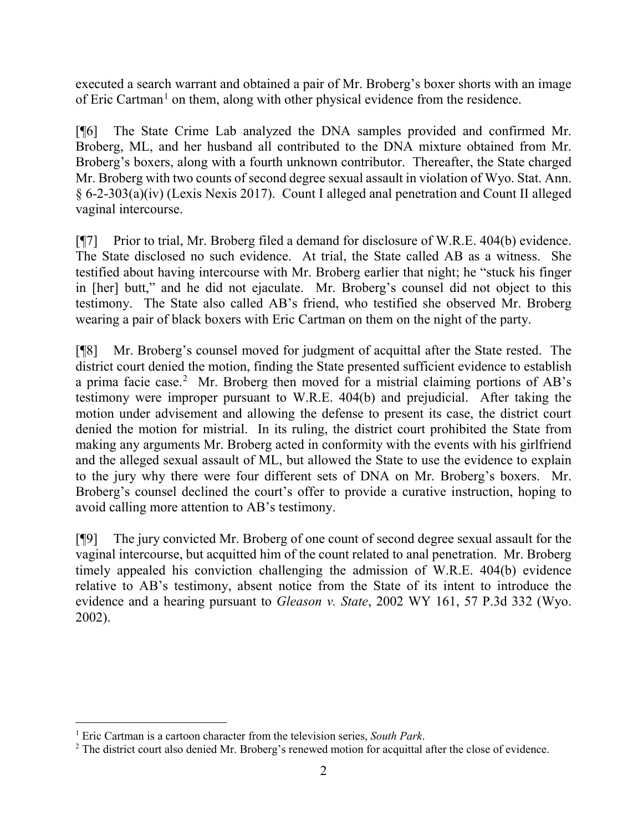executed a search warrant and obtained a pair of Mr. Broberg's boxer shorts with an image of Eric Cartman<sup>[1](#page-2-0)</sup> on them, along with other physical evidence from the residence.

[¶6] The State Crime Lab analyzed the DNA samples provided and confirmed Mr. Broberg, ML, and her husband all contributed to the DNA mixture obtained from Mr. Broberg's boxers, along with a fourth unknown contributor. Thereafter, the State charged Mr. Broberg with two counts of second degree sexual assault in violation of Wyo. Stat. Ann. § 6-2-303(a)(iv) (Lexis Nexis 2017). Count I alleged anal penetration and Count II alleged vaginal intercourse.

[¶7] Prior to trial, Mr. Broberg filed a demand for disclosure of W.R.E. 404(b) evidence. The State disclosed no such evidence. At trial, the State called AB as a witness. She testified about having intercourse with Mr. Broberg earlier that night; he "stuck his finger in [her] butt," and he did not ejaculate. Mr. Broberg's counsel did not object to this testimony. The State also called AB's friend, who testified she observed Mr. Broberg wearing a pair of black boxers with Eric Cartman on them on the night of the party.

[¶8] Mr. Broberg's counsel moved for judgment of acquittal after the State rested. The district court denied the motion, finding the State presented sufficient evidence to establish a prima facie case.<sup>[2](#page-2-1)</sup> Mr. Broberg then moved for a mistrial claiming portions of AB's testimony were improper pursuant to W.R.E. 404(b) and prejudicial. After taking the motion under advisement and allowing the defense to present its case, the district court denied the motion for mistrial. In its ruling, the district court prohibited the State from making any arguments Mr. Broberg acted in conformity with the events with his girlfriend and the alleged sexual assault of ML, but allowed the State to use the evidence to explain to the jury why there were four different sets of DNA on Mr. Broberg's boxers. Mr. Broberg's counsel declined the court's offer to provide a curative instruction, hoping to avoid calling more attention to AB's testimony.

[¶9] The jury convicted Mr. Broberg of one count of second degree sexual assault for the vaginal intercourse, but acquitted him of the count related to anal penetration. Mr. Broberg timely appealed his conviction challenging the admission of W.R.E. 404(b) evidence relative to AB's testimony, absent notice from the State of its intent to introduce the evidence and a hearing pursuant to *Gleason v. State*, 2002 WY 161, 57 P.3d 332 (Wyo. 2002).

<span id="page-2-1"></span><span id="page-2-0"></span><sup>&</sup>lt;sup>1</sup> Eric Cartman is a cartoon character from the television series, *South Park*.<br><sup>2</sup> The district court also denied Mr. Broberg's renewed motion for acquittal after the close of evidence.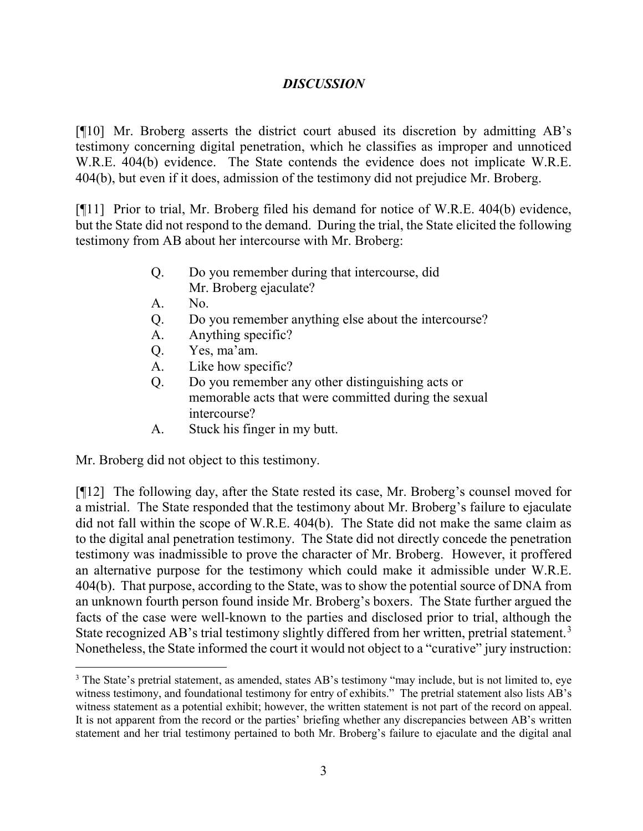# *DISCUSSION*

[¶10] Mr. Broberg asserts the district court abused its discretion by admitting AB's testimony concerning digital penetration, which he classifies as improper and unnoticed W.R.E. 404(b) evidence. The State contends the evidence does not implicate W.R.E. 404(b), but even if it does, admission of the testimony did not prejudice Mr. Broberg.

[¶11] Prior to trial, Mr. Broberg filed his demand for notice of W.R.E. 404(b) evidence, but the State did not respond to the demand. During the trial, the State elicited the following testimony from AB about her intercourse with Mr. Broberg:

- Q. Do you remember during that intercourse, did Mr. Broberg ejaculate?
- A. No.
- Q. Do you remember anything else about the intercourse?
- A. Anything specific?
- Q. Yes, ma'am.
- A. Like how specific?
- Q. Do you remember any other distinguishing acts or memorable acts that were committed during the sexual intercourse?
- A. Stuck his finger in my butt.

Mr. Broberg did not object to this testimony.

[¶12] The following day, after the State rested its case, Mr. Broberg's counsel moved for a mistrial. The State responded that the testimony about Mr. Broberg's failure to ejaculate did not fall within the scope of W.R.E. 404(b). The State did not make the same claim as to the digital anal penetration testimony. The State did not directly concede the penetration testimony was inadmissible to prove the character of Mr. Broberg. However, it proffered an alternative purpose for the testimony which could make it admissible under W.R.E. 404(b). That purpose, according to the State, was to show the potential source of DNA from an unknown fourth person found inside Mr. Broberg's boxers. The State further argued the facts of the case were well-known to the parties and disclosed prior to trial, although the State recognized AB's trial testimony slightly differed from her written, pretrial statement.<sup>[3](#page-3-0)</sup> Nonetheless, the State informed the court it would not object to a "curative" jury instruction:

<span id="page-3-0"></span><sup>&</sup>lt;sup>3</sup> The State's pretrial statement, as amended, states AB's testimony "may include, but is not limited to, eye witness testimony, and foundational testimony for entry of exhibits." The pretrial statement also lists AB's witness statement as a potential exhibit; however, the written statement is not part of the record on appeal. It is not apparent from the record or the parties' briefing whether any discrepancies between AB's written statement and her trial testimony pertained to both Mr. Broberg's failure to ejaculate and the digital anal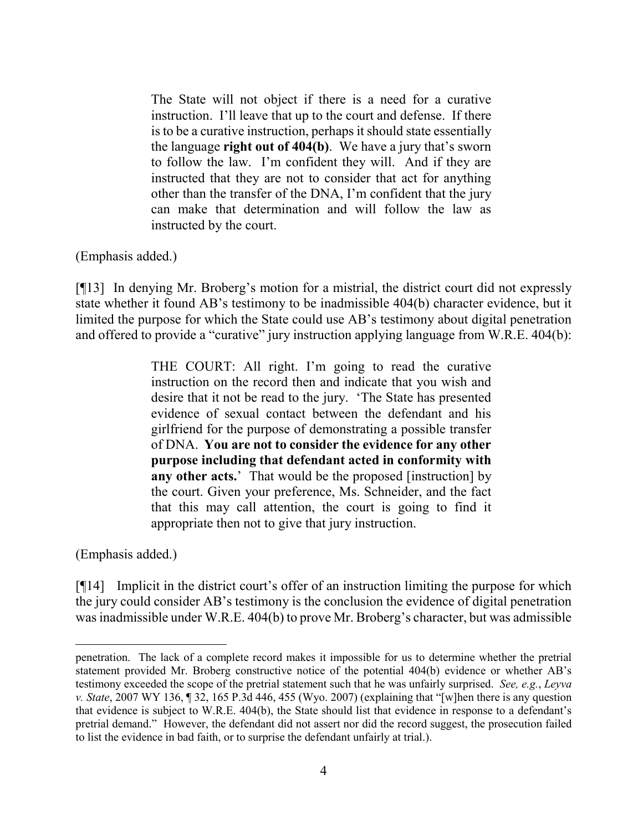The State will not object if there is a need for a curative instruction. I'll leave that up to the court and defense. If there is to be a curative instruction, perhaps it should state essentially the language **right out of 404(b)**. We have a jury that's sworn to follow the law. I'm confident they will. And if they are instructed that they are not to consider that act for anything other than the transfer of the DNA, I'm confident that the jury can make that determination and will follow the law as instructed by the court.

(Emphasis added.)

[¶13] In denying Mr. Broberg's motion for a mistrial, the district court did not expressly state whether it found AB's testimony to be inadmissible 404(b) character evidence, but it limited the purpose for which the State could use AB's testimony about digital penetration and offered to provide a "curative" jury instruction applying language from W.R.E. 404(b):

> THE COURT: All right. I'm going to read the curative instruction on the record then and indicate that you wish and desire that it not be read to the jury. 'The State has presented evidence of sexual contact between the defendant and his girlfriend for the purpose of demonstrating a possible transfer of DNA. **You are not to consider the evidence for any other purpose including that defendant acted in conformity with**  any other acts.' That would be the proposed [instruction] by the court. Given your preference, Ms. Schneider, and the fact that this may call attention, the court is going to find it appropriate then not to give that jury instruction.

(Emphasis added.)

[¶14] Implicit in the district court's offer of an instruction limiting the purpose for which the jury could consider AB's testimony is the conclusion the evidence of digital penetration was inadmissible under W.R.E. 404(b) to prove Mr. Broberg's character, but was admissible

penetration. The lack of a complete record makes it impossible for us to determine whether the pretrial statement provided Mr. Broberg constructive notice of the potential 404(b) evidence or whether AB's testimony exceeded the scope of the pretrial statement such that he was unfairly surprised. *See, e.g.*, *Leyva v. State*, 2007 WY 136, ¶ 32, 165 P.3d 446, 455 (Wyo. 2007) (explaining that "[w]hen there is any question that evidence is subject to W.R.E. 404(b), the State should list that evidence in response to a defendant's pretrial demand." However, the defendant did not assert nor did the record suggest, the prosecution failed to list the evidence in bad faith, or to surprise the defendant unfairly at trial.).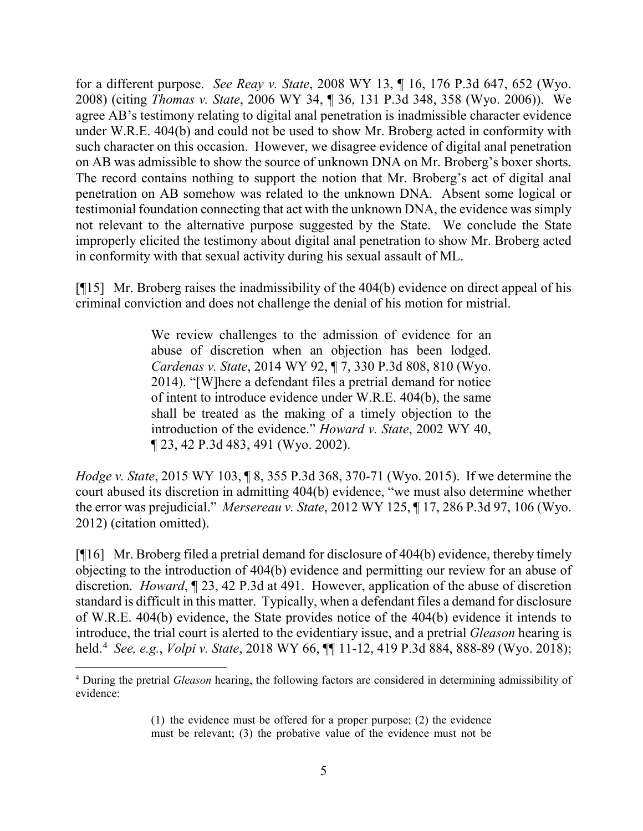for a different purpose. *See Reay v. State*, 2008 WY 13, ¶ 16, 176 P.3d 647, 652 (Wyo. 2008) (citing *Thomas v. State*, 2006 WY 34, ¶ 36, 131 P.3d 348, 358 (Wyo. 2006)). We agree AB's testimony relating to digital anal penetration is inadmissible character evidence under W.R.E. 404(b) and could not be used to show Mr. Broberg acted in conformity with such character on this occasion. However, we disagree evidence of digital anal penetration on AB was admissible to show the source of unknown DNA on Mr. Broberg's boxer shorts. The record contains nothing to support the notion that Mr. Broberg's act of digital anal penetration on AB somehow was related to the unknown DNA. Absent some logical or testimonial foundation connecting that act with the unknown DNA, the evidence was simply not relevant to the alternative purpose suggested by the State. We conclude the State improperly elicited the testimony about digital anal penetration to show Mr. Broberg acted in conformity with that sexual activity during his sexual assault of ML.

[¶15] Mr. Broberg raises the inadmissibility of the 404(b) evidence on direct appeal of his criminal conviction and does not challenge the denial of his motion for mistrial.

> We review challenges to the admission of evidence for an abuse of discretion when an objection has been lodged. *Cardenas v. State*, 2014 WY 92, ¶ 7, 330 P.3d 808, 810 (Wyo. 2014). "[W]here a defendant files a pretrial demand for notice of intent to introduce evidence under W.R.E. 404(b), the same shall be treated as the making of a timely objection to the introduction of the evidence." *Howard v. State*, 2002 WY 40, ¶ 23, 42 P.3d 483, 491 (Wyo. 2002).

*Hodge v. State*, 2015 WY 103, ¶ 8, 355 P.3d 368, 370-71 (Wyo. 2015). If we determine the court abused its discretion in admitting 404(b) evidence, "we must also determine whether the error was prejudicial." *Mersereau v. State*, 2012 WY 125, ¶ 17, 286 P.3d 97, 106 (Wyo. 2012) (citation omitted).

[¶16] Mr. Broberg filed a pretrial demand for disclosure of 404(b) evidence, thereby timely objecting to the introduction of 404(b) evidence and permitting our review for an abuse of discretion. *Howard*, ¶ 23, 42 P.3d at 491. However, application of the abuse of discretion standard is difficult in this matter. Typically, when a defendant files a demand for disclosure of W.R.E. 404(b) evidence, the State provides notice of the 404(b) evidence it intends to introduce, the trial court is alerted to the evidentiary issue, and a pretrial *Gleason* hearing is held.[4](#page-5-0) *See, e.g.*, *Volpi v. State*, 2018 WY 66, ¶¶ 11-12, 419 P.3d 884, 888-89 (Wyo. 2018);

<span id="page-5-0"></span> <sup>4</sup> During the pretrial *Gleason* hearing, the following factors are considered in determining admissibility of evidence:

<sup>(1)</sup> the evidence must be offered for a proper purpose; (2) the evidence must be relevant; (3) the probative value of the evidence must not be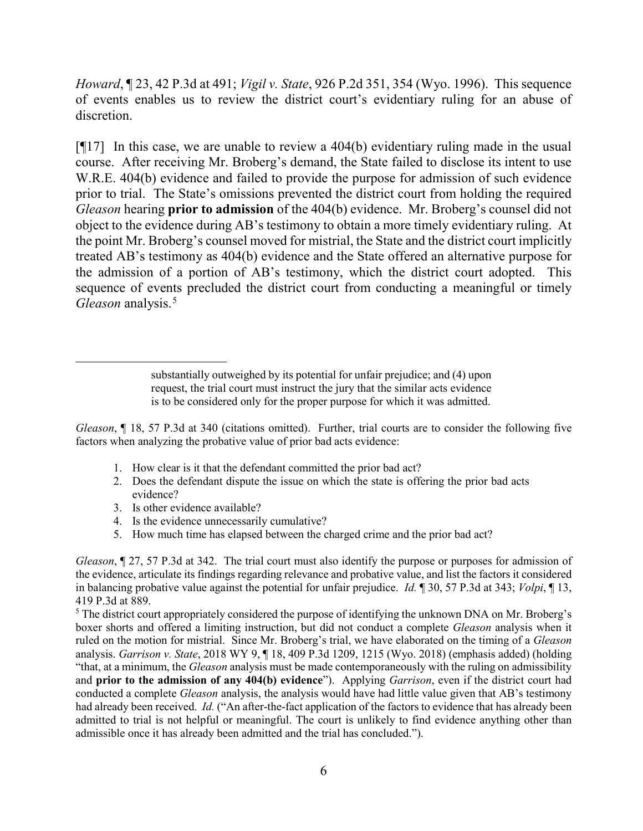*Howard*, ¶ 23, 42 P.3d at 491; *Vigil v. State*, 926 P.2d 351, 354 (Wyo. 1996). This sequence of events enables us to review the district court's evidentiary ruling for an abuse of discretion.

[¶17] In this case, we are unable to review a 404(b) evidentiary ruling made in the usual course. After receiving Mr. Broberg's demand, the State failed to disclose its intent to use W.R.E. 404(b) evidence and failed to provide the purpose for admission of such evidence prior to trial. The State's omissions prevented the district court from holding the required *Gleason* hearing **prior to admission** of the 404(b) evidence. Mr. Broberg's counsel did not object to the evidence during AB's testimony to obtain a more timely evidentiary ruling. At the point Mr. Broberg's counsel moved for mistrial, the State and the district court implicitly treated AB's testimony as 404(b) evidence and the State offered an alternative purpose for the admission of a portion of AB's testimony, which the district court adopted. This sequence of events precluded the district court from conducting a meaningful or timely *Gleason* analysis.[5](#page-6-0)

> substantially outweighed by its potential for unfair prejudice; and (4) upon request, the trial court must instruct the jury that the similar acts evidence is to be considered only for the proper purpose for which it was admitted.

*Gleason*, **[18, 57 P.3d at 340 (citations omitted).** Further, trial courts are to consider the following five factors when analyzing the probative value of prior bad acts evidence:

- 1. How clear is it that the defendant committed the prior bad act?
- 2. Does the defendant dispute the issue on which the state is offering the prior bad acts evidence?
- 3. Is other evidence available?

 $\overline{a}$ 

- 4. Is the evidence unnecessarily cumulative?
- 5. How much time has elapsed between the charged crime and the prior bad act?

*Gleason*,  $\sim$  27, 57 P.3d at 342. The trial court must also identify the purpose or purposes for admission of the evidence, articulate its findings regarding relevance and probative value, and list the factors it considered in balancing probative value against the potential for unfair prejudice. *Id.* ¶ 30, 57 P.3d at 343; *Volpi*, ¶ 13, 419 P.3d at 889.<br><sup>5</sup> The district court appropriately considered the purpose of identifying the unknown DNA on Mr. Broberg's

<span id="page-6-0"></span>boxer shorts and offered a limiting instruction, but did not conduct a complete *Gleason* analysis when it ruled on the motion for mistrial. Since Mr. Broberg's trial, we have elaborated on the timing of a *Gleason*  analysis. *Garrison v. State*, 2018 WY 9, ¶ 18, 409 P.3d 1209, 1215 (Wyo. 2018) (emphasis added) (holding "that, at a minimum, the *Gleason* analysis must be made contemporaneously with the ruling on admissibility and **prior to the admission of any 404(b) evidence**"). Applying *Garrison*, even if the district court had conducted a complete *Gleason* analysis, the analysis would have had little value given that AB's testimony had already been received. *Id.* ("An after-the-fact application of the factors to evidence that has already been admitted to trial is not helpful or meaningful. The court is unlikely to find evidence anything other than admissible once it has already been admitted and the trial has concluded.").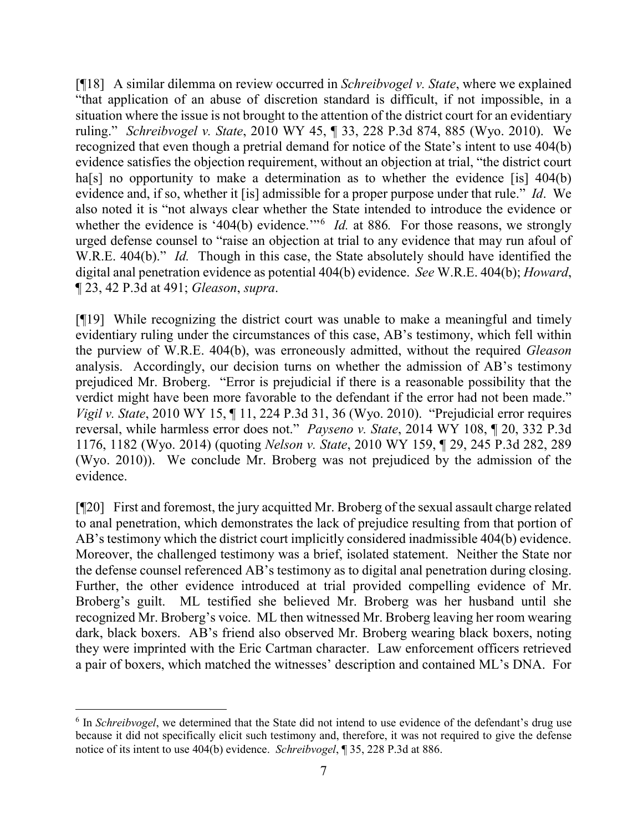[¶18] A similar dilemma on review occurred in *Schreibvogel v. State*, where we explained "that application of an abuse of discretion standard is difficult, if not impossible, in a situation where the issue is not brought to the attention of the district court for an evidentiary ruling." *Schreibvogel v. State*, 2010 WY 45, ¶ 33, 228 P.3d 874, 885 (Wyo. 2010). We recognized that even though a pretrial demand for notice of the State's intent to use 404(b) evidence satisfies the objection requirement, without an objection at trial, "the district court ha<sup>[s]</sup> no opportunity to make a determination as to whether the evidence [is] 404(b) evidence and, if so, whether it [is] admissible for a proper purpose under that rule." *Id*. We also noted it is "not always clear whether the State intended to introduce the evidence or whether the evidence is '404(b) evidence."<sup>[6](#page-7-0)</sup> *Id.* at 886. For those reasons, we strongly urged defense counsel to "raise an objection at trial to any evidence that may run afoul of W.R.E. 404(b)." *Id.* Though in this case, the State absolutely should have identified the digital anal penetration evidence as potential 404(b) evidence. *See* W.R.E. 404(b); *Howard*, ¶ 23, 42 P.3d at 491; *Gleason*, *supra*.

[¶19] While recognizing the district court was unable to make a meaningful and timely evidentiary ruling under the circumstances of this case, AB's testimony, which fell within the purview of W.R.E. 404(b), was erroneously admitted, without the required *Gleason*  analysis. Accordingly, our decision turns on whether the admission of AB's testimony prejudiced Mr. Broberg. "Error is prejudicial if there is a reasonable possibility that the verdict might have been more favorable to the defendant if the error had not been made." *Vigil v. State*, 2010 WY 15, ¶ 11, 224 P.3d 31, 36 (Wyo. 2010). "Prejudicial error requires reversal, while harmless error does not." *Payseno v. State*, 2014 WY 108, ¶ 20, 332 P.3d 1176, 1182 (Wyo. 2014) (quoting *Nelson v. State*, 2010 WY 159, ¶ 29, 245 P.3d 282, 289 (Wyo. 2010)). We conclude Mr. Broberg was not prejudiced by the admission of the evidence.

[¶20] First and foremost, the jury acquitted Mr. Broberg of the sexual assault charge related to anal penetration, which demonstrates the lack of prejudice resulting from that portion of AB's testimony which the district court implicitly considered inadmissible 404(b) evidence. Moreover, the challenged testimony was a brief, isolated statement. Neither the State nor the defense counsel referenced AB's testimony as to digital anal penetration during closing. Further, the other evidence introduced at trial provided compelling evidence of Mr. Broberg's guilt. ML testified she believed Mr. Broberg was her husband until she recognized Mr. Broberg's voice. ML then witnessed Mr. Broberg leaving her room wearing dark, black boxers. AB's friend also observed Mr. Broberg wearing black boxers, noting they were imprinted with the Eric Cartman character. Law enforcement officers retrieved a pair of boxers, which matched the witnesses' description and contained ML's DNA. For

<span id="page-7-0"></span> <sup>6</sup> In *Schreibvogel*, we determined that the State did not intend to use evidence of the defendant's drug use because it did not specifically elicit such testimony and, therefore, it was not required to give the defense notice of its intent to use 404(b) evidence. *Schreibvogel*, ¶ 35, 228 P.3d at 886.